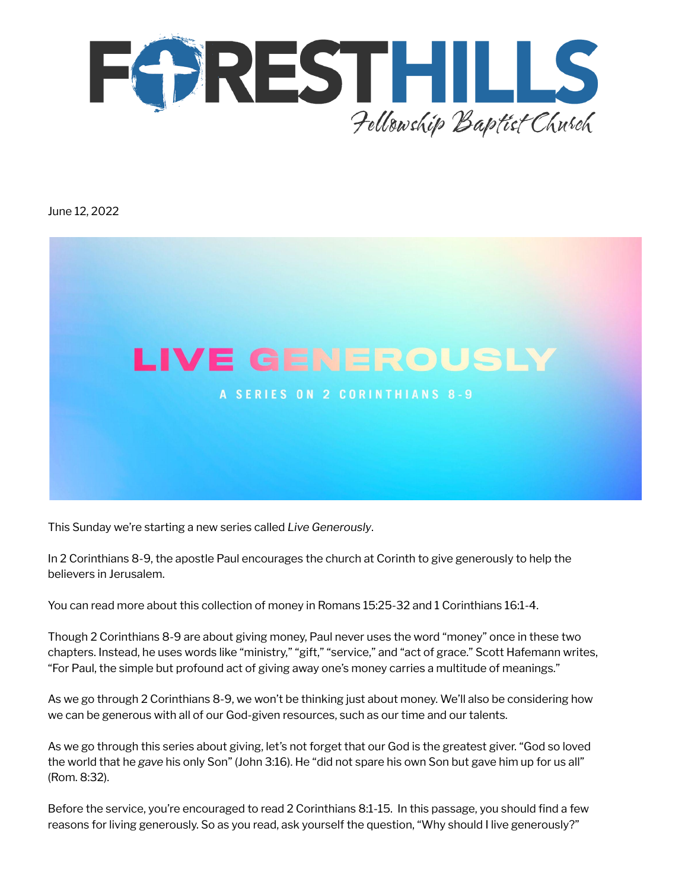

June 12, 2022



This Sunday we're starting a new series called *Live Generously*.

In 2 Corinthians 8-9, the apostle Paul encourages the church at Corinth to give generously to help the believers in Jerusalem.

You can read more about this collection of money in Romans 15:25-32 and 1 Corinthians 16:1-4.

Though 2 Corinthians 8-9 are about giving money, Paul never uses the word "money" once in these two chapters. Instead, he uses words like "ministry," "gift," "service," and "act of grace." Scott Hafemann writes, "For Paul, the simple but profound act of giving away one's money carries a multitude of meanings."

As we go through 2 Corinthians 8-9, we won't be thinking just about money. We'll also be considering how we can be generous with all of our God-given resources, such as our time and our talents.

As we go through this series about giving, let's not forget that our God is the greatest giver. "God so loved the world that he *gave* his only Son" (John 3:16). He "did not spare his own Son but gave him up for us all" (Rom. 8:32).

Before the service, you're encouraged to read 2 Corinthians 8:1-15. In this passage, you should find a few reasons for living generously. So as you read, ask yourself the question, "Why should I live generously?"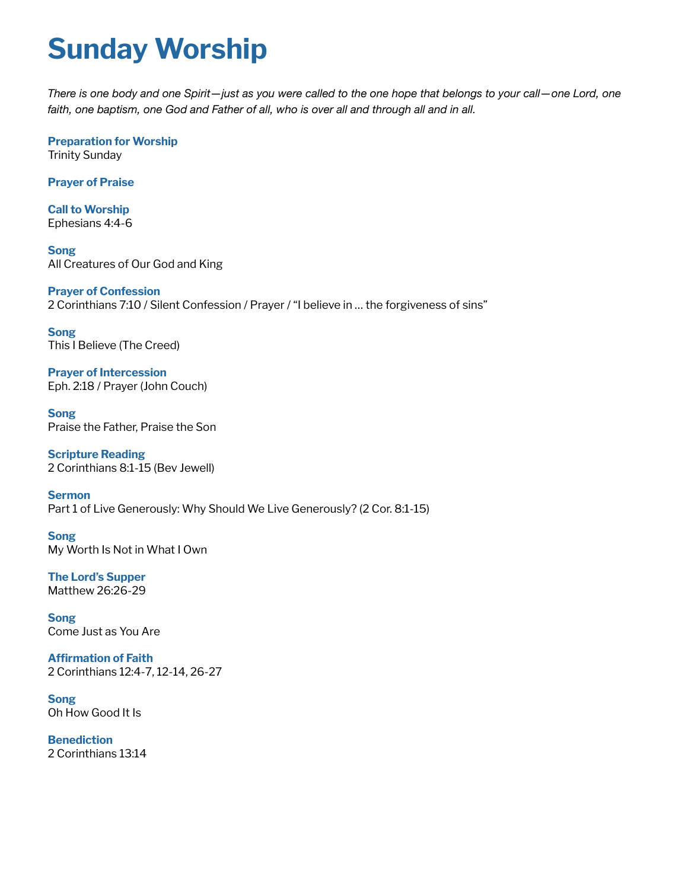## **Sunday Worship**

There is one body and one Spirit-just as you were called to the one hope that belongs to your call-one Lord, one *faith, one baptism, one God and Father of all, who is over all and through all and in all.*

**Preparation for Worship** Trinity Sunday

**Prayer of Praise**

**Call to Worship** Ephesians 4:4-6

**Song** All Creatures of Our God and King

**Prayer of Confession** 2 Corinthians 7:10 / Silent Confession / Prayer / "I believe in … the forgiveness of sins"

**Song** This I Believe (The Creed)

**Prayer of Intercession** Eph. 2:18 / Prayer (John Couch)

**Song** Praise the Father, Praise the Son

**Scripture Reading** 2 Corinthians 8:1-15 (Bev Jewell)

**Sermon** Part 1 of Live Generously: Why Should We Live Generously? (2 Cor. 8:1-15)

**Song** My Worth Is Not in What I Own

**The Lord's Supper** Matthew 26:26-29

**Song** Come Just as You Are

**Affirmation of Faith** 2 Corinthians 12:4-7, 12-14, 26-27

**Song** Oh How Good It Is

**Benediction** 2 Corinthians 13:14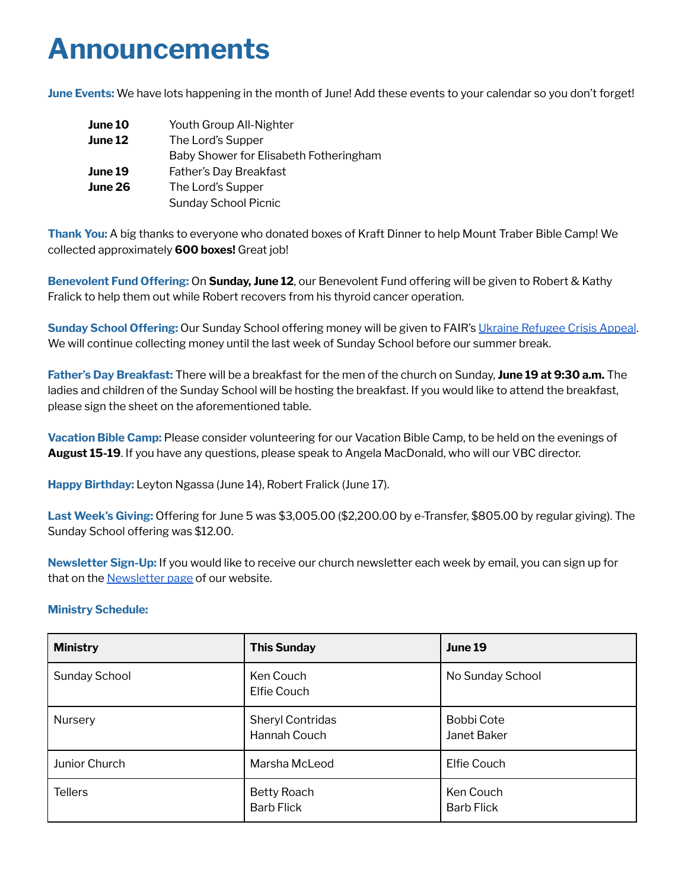### **Announcements**

**June Events:** We have lots happening in the month of June! Add these events to your calendar so you don't forget!

| June 10        | Youth Group All-Nighter                |
|----------------|----------------------------------------|
| June 12        | The Lord's Supper                      |
|                | Baby Shower for Elisabeth Fotheringham |
| June 19        | Father's Day Breakfast                 |
| <b>June 26</b> | The Lord's Supper                      |
|                | <b>Sunday School Picnic</b>            |

**Thank You:** A big thanks to everyone who donated boxes of Kraft Dinner to help Mount Traber Bible Camp! We collected approximately **600 boxes!** Great job!

**Benevolent Fund Offering:** On **Sunday, June 12**, our Benevolent Fund offering will be given to Robert & Kathy Fralick to help them out while Robert recovers from his thyroid cancer operation.

**Sunday School Offering:** Our Sunday School offering money will be given to FAIR's Ukraine [Refugee](https://www.fellowship.ca/qry/page.taf?id=39&_dsfd_uid1=818&_nc=f973f28cf0bf7480a428c6cd70effa51) Crisis Appeal. We will continue collecting money until the last week of Sunday School before our summer break.

**Father's Day Breakfast:** There will be a breakfast for the men of the church on Sunday, **June 19 at 9:30 a.m.** The ladies and children of the Sunday School will be hosting the breakfast. If you would like to attend the breakfast, please sign the sheet on the aforementioned table.

**Vacation Bible Camp:** Please consider volunteering for our Vacation Bible Camp, to be held on the evenings of **August 15-19**. If you have any questions, please speak to Angela MacDonald, who will our VBC director.

**Happy Birthday:** Leyton Ngassa (June 14), Robert Fralick (June 17).

**Last Week's Giving:** Offering for June 5 was \$3,005.00 (\$2,200.00 by e-Transfer, \$805.00 by regular giving). The Sunday School offering was \$12.00.

**Newsletter Sign-Up:** If you would like to receive our church newsletter each week by email, you can sign up for that on the [Newsletter](http://www.fhfbc.org/newsletter.cfm) page of our website.

#### **Ministry Schedule:**

| <b>Ministry</b> | <b>This Sunday</b>                      | June 19                          |
|-----------------|-----------------------------------------|----------------------------------|
| Sunday School   | Ken Couch<br>Elfie Couch                | No Sunday School                 |
| Nursery         | <b>Sheryl Contridas</b><br>Hannah Couch | <b>Bobbi Cote</b><br>Janet Baker |
| Junior Church   | Marsha McLeod                           | <b>Elfie Couch</b>               |
| <b>Tellers</b>  | <b>Betty Roach</b><br><b>Barb Flick</b> | Ken Couch<br><b>Barb Flick</b>   |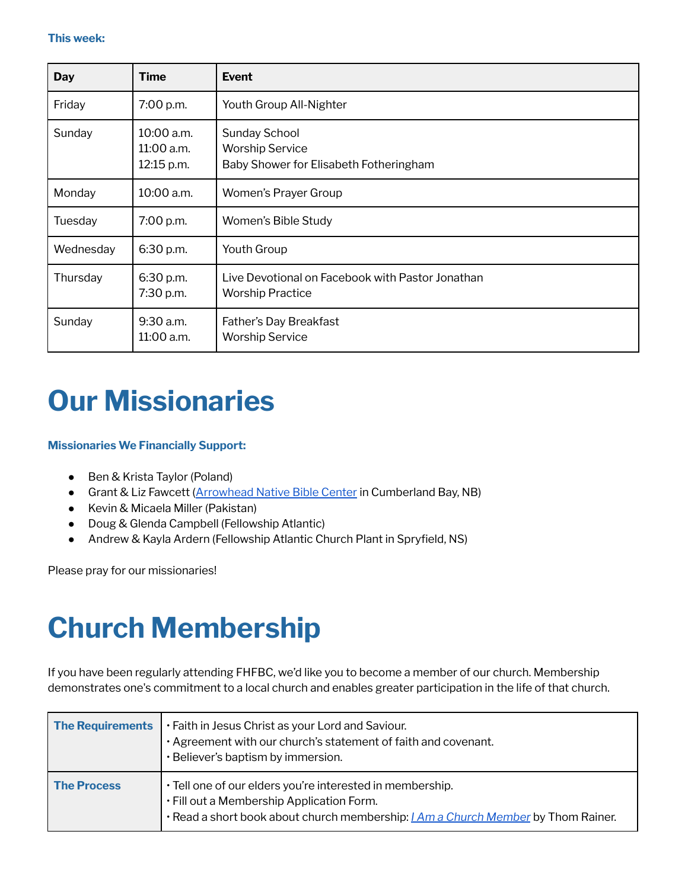| <b>Day</b> | <b>Time</b>                            | <b>Event</b>                                                                             |
|------------|----------------------------------------|------------------------------------------------------------------------------------------|
| Friday     | 7:00 p.m.                              | Youth Group All-Nighter                                                                  |
| Sunday     | 10:00 a.m.<br>11:00 a.m.<br>12:15 p.m. | <b>Sunday School</b><br><b>Worship Service</b><br>Baby Shower for Elisabeth Fotheringham |
| Monday     | 10:00 a.m.                             | Women's Prayer Group                                                                     |
| Tuesday    | 7:00 p.m.                              | Women's Bible Study                                                                      |
| Wednesday  | 6:30 p.m.                              | <b>Youth Group</b>                                                                       |
| Thursday   | 6:30 p.m.<br>7:30 p.m.                 | Live Devotional on Facebook with Pastor Jonathan<br><b>Worship Practice</b>              |
| Sunday     | 9:30 a.m.<br>11:00 a.m.                | Father's Day Breakfast<br><b>Worship Service</b>                                         |

### **Our Missionaries**

#### **Missionaries We Financially Support:**

- Ben & Krista Taylor (Poland)
- Grant & Liz Fawcett [\(Arrowhead](https://arrowheadnbc.com/) Native Bible Center in Cumberland Bay, NB)
- Kevin & Micaela Miller (Pakistan)
- Doug & Glenda Campbell (Fellowship Atlantic)
- Andrew & Kayla Ardern (Fellowship Atlantic Church Plant in Spryfield, NS)

Please pray for our missionaries!

## **Church Membership**

If you have been regularly attending FHFBC, we'd like you to become a member of our church. Membership demonstrates one's commitment to a local church and enables greater participation in the life of that church.

| <b>The Requirements</b> | . Faith in Jesus Christ as your Lord and Saviour.<br>· Agreement with our church's statement of faith and covenant.<br>· Believer's baptism by immersion.                                          |
|-------------------------|----------------------------------------------------------------------------------------------------------------------------------------------------------------------------------------------------|
| <b>The Process</b>      | · Tell one of our elders you're interested in membership.<br>. Fill out a Membership Application Form.<br>. Read a short book about church membership: <i>I Am a Church Member</i> by Thom Rainer. |